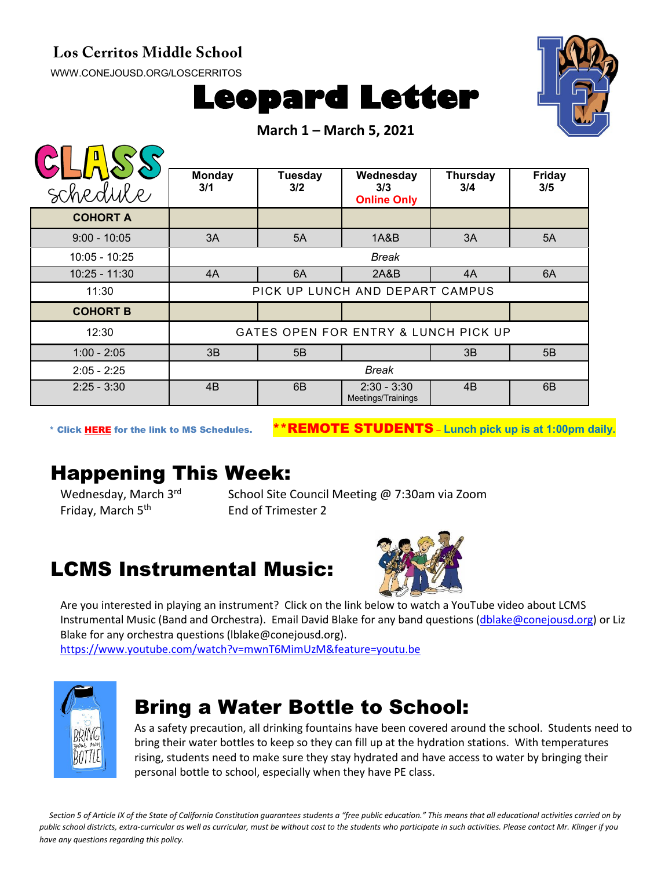#### **Los Cerritos Middle School**

[WWW.CONEJOUSD.ORG/LOSCERRITOS](http://www.conejousd.org/LOSCERRITOS)

 $\blacksquare$ 





**March 1 – March 5, 2021**

| schedule        | <b>Monday</b><br>3/1                 | Tuesday<br>3/2 | Wednesday<br>3/3<br><b>Online Only</b> | Thursday<br>3/4 | <b>Friday</b><br>3/5 |
|-----------------|--------------------------------------|----------------|----------------------------------------|-----------------|----------------------|
| <b>COHORT A</b> |                                      |                |                                        |                 |                      |
| $9:00 - 10:05$  | 3A                                   | 5A             | 1A&B                                   | 3A              | 5A                   |
| 10:05 - 10:25   | <b>Break</b>                         |                |                                        |                 |                      |
| $10:25 - 11:30$ | 4A                                   | 6A             | 2A&B                                   | 4A              | 6A                   |
| 11:30           | PICK UP LUNCH AND DEPART CAMPUS      |                |                                        |                 |                      |
| <b>COHORT B</b> |                                      |                |                                        |                 |                      |
| 12:30           | GATES OPEN FOR ENTRY & LUNCH PICK UP |                |                                        |                 |                      |
| $1:00 - 2:05$   | 3B                                   | 5B             |                                        | 3B              | 5B                   |
| $2:05 - 2:25$   | <b>Break</b>                         |                |                                        |                 |                      |
| $2:25 - 3:30$   | 4B                                   | 6B             | $2:30 - 3:30$<br>Meetings/Trainings    | 4B              | 6B                   |

\* Click [HERE](https://www.conejousd.org/Portals/0/Middle%20School%20Monthly%20Calendar%20_FNLl.pdf?ver=2020-11-04-105638-860) for the link to MS Schedules. \*\*REMOTE STUDENTS – **Lunch pick up is at 1:00pm daily.**

## Happening This Week:

Friday, March 5<sup>th</sup> End of Trimester 2

Wednesday, March  $3^{rd}$  School Site Council Meeting @ 7:30am via Zoom

## LCMS Instrumental Music:



Are you interested in playing an instrument? Click on the link below to watch a YouTube video about LCMS Instrumental Music (Band and Orchestra). Email David Blake for any band questions [\(dblake@conejousd.org\)](mailto:dblake@conejousd.org) or Liz Blake for any orchestra questions (lblake@conejousd.org).

<https://www.youtube.com/watch?v=mwnT6MimUzM&feature=youtu.be>



## Bring a Water Bottle to School:

As a safety precaution, all drinking fountains have been covered around the school. Students need to bring their water bottles to keep so they can fill up at the hydration stations. With temperatures rising, students need to make sure they stay hydrated and have access to water by bringing their personal bottle to school, especially when they have PE class.

*Section 5 of Article IX of the State of California Constitution guarantees students a "free public education." This means that all educational activities carried on by public school districts, extra-curricular as well as curricular, must be without cost to the students who participate in such activities. Please contact Mr. Klinger if you have any questions regarding this policy.*